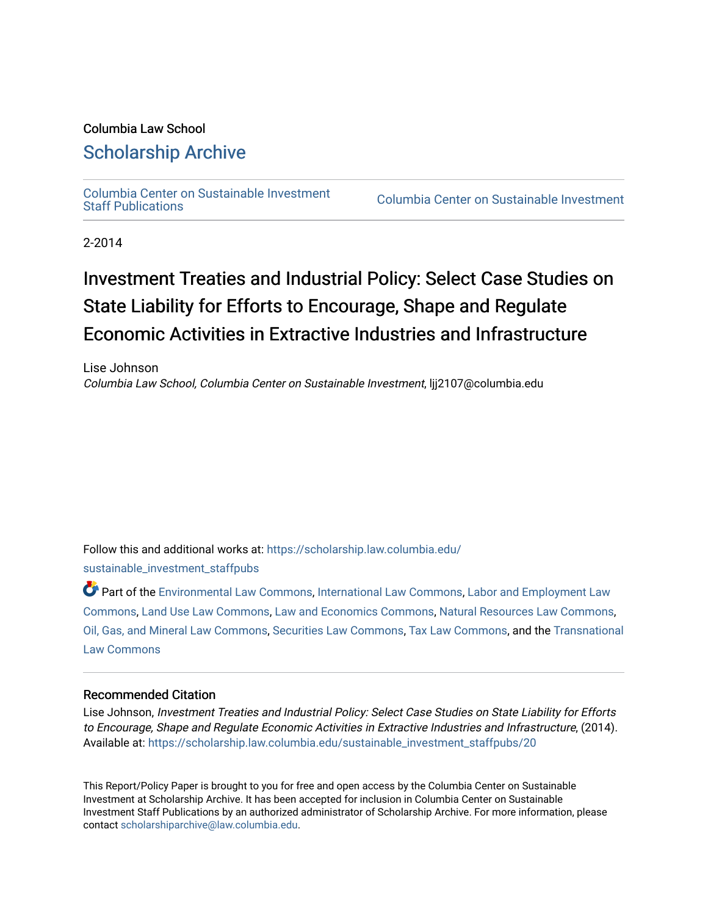# Columbia Law School

# [Scholarship Archive](https://scholarship.law.columbia.edu/)

[Columbia Center on Sustainable Investment](https://scholarship.law.columbia.edu/sustainable_investment_staffpubs) 

Columbia Center on Sustainable Investment

2-2014

# Investment Treaties and Industrial Policy: Select Case Studies on State Liability for Efforts to Encourage, Shape and Regulate Economic Activities in Extractive Industries and Infrastructure

Lise Johnson Columbia Law School, Columbia Center on Sustainable Investment, ljj2107@columbia.edu

Follow this and additional works at: [https://scholarship.law.columbia.edu/](https://scholarship.law.columbia.edu/sustainable_investment_staffpubs?utm_source=scholarship.law.columbia.edu%2Fsustainable_investment_staffpubs%2F20&utm_medium=PDF&utm_campaign=PDFCoverPages) [sustainable\\_investment\\_staffpubs](https://scholarship.law.columbia.edu/sustainable_investment_staffpubs?utm_source=scholarship.law.columbia.edu%2Fsustainable_investment_staffpubs%2F20&utm_medium=PDF&utm_campaign=PDFCoverPages)

Part of the [Environmental Law Commons](http://network.bepress.com/hgg/discipline/599?utm_source=scholarship.law.columbia.edu%2Fsustainable_investment_staffpubs%2F20&utm_medium=PDF&utm_campaign=PDFCoverPages), [International Law Commons](http://network.bepress.com/hgg/discipline/609?utm_source=scholarship.law.columbia.edu%2Fsustainable_investment_staffpubs%2F20&utm_medium=PDF&utm_campaign=PDFCoverPages), [Labor and Employment Law](http://network.bepress.com/hgg/discipline/909?utm_source=scholarship.law.columbia.edu%2Fsustainable_investment_staffpubs%2F20&utm_medium=PDF&utm_campaign=PDFCoverPages) [Commons](http://network.bepress.com/hgg/discipline/909?utm_source=scholarship.law.columbia.edu%2Fsustainable_investment_staffpubs%2F20&utm_medium=PDF&utm_campaign=PDFCoverPages), [Land Use Law Commons](http://network.bepress.com/hgg/discipline/852?utm_source=scholarship.law.columbia.edu%2Fsustainable_investment_staffpubs%2F20&utm_medium=PDF&utm_campaign=PDFCoverPages), [Law and Economics Commons,](http://network.bepress.com/hgg/discipline/612?utm_source=scholarship.law.columbia.edu%2Fsustainable_investment_staffpubs%2F20&utm_medium=PDF&utm_campaign=PDFCoverPages) [Natural Resources Law Commons](http://network.bepress.com/hgg/discipline/863?utm_source=scholarship.law.columbia.edu%2Fsustainable_investment_staffpubs%2F20&utm_medium=PDF&utm_campaign=PDFCoverPages), [Oil, Gas, and Mineral Law Commons,](http://network.bepress.com/hgg/discipline/864?utm_source=scholarship.law.columbia.edu%2Fsustainable_investment_staffpubs%2F20&utm_medium=PDF&utm_campaign=PDFCoverPages) [Securities Law Commons](http://network.bepress.com/hgg/discipline/619?utm_source=scholarship.law.columbia.edu%2Fsustainable_investment_staffpubs%2F20&utm_medium=PDF&utm_campaign=PDFCoverPages), [Tax Law Commons,](http://network.bepress.com/hgg/discipline/898?utm_source=scholarship.law.columbia.edu%2Fsustainable_investment_staffpubs%2F20&utm_medium=PDF&utm_campaign=PDFCoverPages) and the [Transnational](http://network.bepress.com/hgg/discipline/1123?utm_source=scholarship.law.columbia.edu%2Fsustainable_investment_staffpubs%2F20&utm_medium=PDF&utm_campaign=PDFCoverPages)  [Law Commons](http://network.bepress.com/hgg/discipline/1123?utm_source=scholarship.law.columbia.edu%2Fsustainable_investment_staffpubs%2F20&utm_medium=PDF&utm_campaign=PDFCoverPages) 

#### Recommended Citation

Lise Johnson, Investment Treaties and Industrial Policy: Select Case Studies on State Liability for Efforts to Encourage, Shape and Regulate Economic Activities in Extractive Industries and Infrastructure, (2014). Available at: [https://scholarship.law.columbia.edu/sustainable\\_investment\\_staffpubs/20](https://scholarship.law.columbia.edu/sustainable_investment_staffpubs/20?utm_source=scholarship.law.columbia.edu%2Fsustainable_investment_staffpubs%2F20&utm_medium=PDF&utm_campaign=PDFCoverPages)

This Report/Policy Paper is brought to you for free and open access by the Columbia Center on Sustainable Investment at Scholarship Archive. It has been accepted for inclusion in Columbia Center on Sustainable Investment Staff Publications by an authorized administrator of Scholarship Archive. For more information, please contact [scholarshiparchive@law.columbia.edu.](mailto:scholarshiparchive@law.columbia.edu)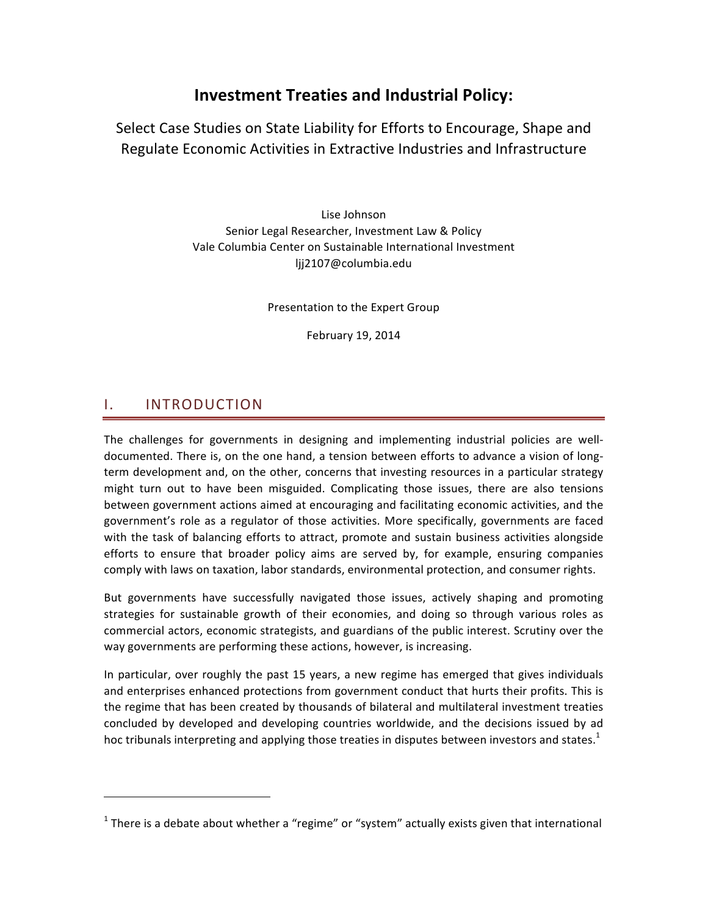# **Investment Treaties and Industrial Policy:**

Select Case Studies on State Liability for Efforts to Encourage, Shape and Regulate Economic Activities in Extractive Industries and Infrastructure

> Lise Johnson Senior Legal Researcher, Investment Law & Policy Vale Columbia Center on Sustainable International Investment ljj2107@columbia.edu

> > Presentation to the Expert Group

February 19, 2014

### I. INTRODUCTION

&&&&&&&&&&&&&&&&&&&&&&&&&&&&&&&&&&&&&&&&&&&&&&&&&&&&&&&&&&&&

The challenges for governments in designing and implementing industrial policies are welldocumented. There is, on the one hand, a tension between efforts to advance a vision of longterm development and, on the other, concerns that investing resources in a particular strategy might turn out to have been misguided. Complicating those issues, there are also tensions between government actions aimed at encouraging and facilitating economic activities, and the government's role as a regulator of those activities. More specifically, governments are faced with the task of balancing efforts to attract, promote and sustain business activities alongside efforts to ensure that broader policy aims are served by, for example, ensuring companies comply with laws on taxation, labor standards, environmental protection, and consumer rights.

But governments have successfully navigated those issues, actively shaping and promoting strategies for sustainable growth of their economies, and doing so through various roles as commercial actors, economic strategists, and guardians of the public interest. Scrutiny over the way governments are performing these actions, however, is increasing.

In particular, over roughly the past 15 years, a new regime has emerged that gives individuals and enterprises enhanced protections from government conduct that hurts their profits. This is the regime that has been created by thousands of bilateral and multilateral investment treaties concluded by developed and developing countries worldwide, and the decisions issued by ad hoc tribunals interpreting and applying those treaties in disputes between investors and states.<sup>1</sup>

<sup>&</sup>lt;sup>1</sup> There is a debate about whether a "regime" or "system" actually exists given that international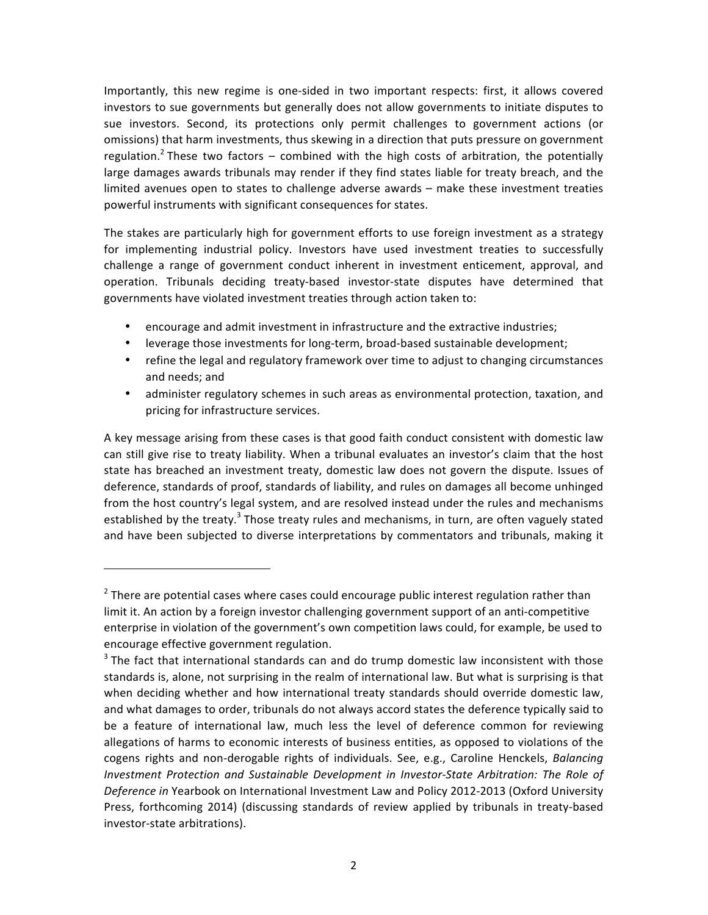Importantly, this new regime is one-sided in two important respects: first, it allows covered investors to sue governments but generally does not allow governments to initiate disputes to sue investors. Second, its protections only permit challenges to government actions (or omissions) that harm investments, thus skewing in a direction that puts pressure on government regulation.<sup>2</sup> These two factors – combined with the high costs of arbitration, the potentially large damages awards tribunals may render if they find states liable for treaty breach, and the limited avenues open to states to challenge adverse awards – make these investment treaties powerful instruments with significant consequences for states.

The stakes are particularly high for government efforts to use foreign investment as a strategy for implementing industrial policy. Investors have used investment treaties to successfully challenge a range of government conduct inherent in investment enticement, approval, and operation. Tribunals deciding treaty-based investor-state disputes have determined that governments have violated investment treaties through action taken to:

- encourage and admit investment in infrastructure and the extractive industries;
- leverage those investments for long-term, broad-based sustainable development;
- refine the legal and regulatory framework over time to adjust to changing circumstances and needs; and
- administer regulatory schemes in such areas as environmental protection, taxation, and pricing for infrastructure services.

A key message arising from these cases is that good faith conduct consistent with domestic law can still give rise to treaty liability. When a tribunal evaluates an investor's claim that the host state has breached an investment treaty, domestic law does not govern the dispute. Issues of deference, standards of proof, standards of liability, and rules on damages all become unhinged from the host country's legal system, and are resolved instead under the rules and mechanisms established by the treaty.<sup>3</sup> Those treaty rules and mechanisms, in turn, are often vaguely stated and have been subjected to diverse interpretations by commentators and tribunals, making it

 $2$  There are potential cases where cases could encourage public interest regulation rather than limit it. An action by a foreign investor challenging government support of an anti-competitive enterprise in violation of the government's own competition laws could, for example, be used to encourage effective government regulation.

 $3$  The fact that international standards can and do trump domestic law inconsistent with those standards is, alone, not surprising in the realm of international law. But what is surprising is that when deciding whether and how international treaty standards should override domestic law, and what damages to order, tribunals do not always accord states the deference typically said to be a feature of international law, much less the level of deference common for reviewing allegations of harms to economic interests of business entities, as opposed to violations of the cogens rights and non-derogable rights of individuals. See, e.g., Caroline Henckels, *Balancing Investment Protection and Sustainable Development in Investor-State Arbitration: The Role of* Deference in Yearbook on International Investment Law and Policy 2012-2013 (Oxford University Press, forthcoming 2014) (discussing standards of review applied by tribunals in treaty-based investor-state arbitrations).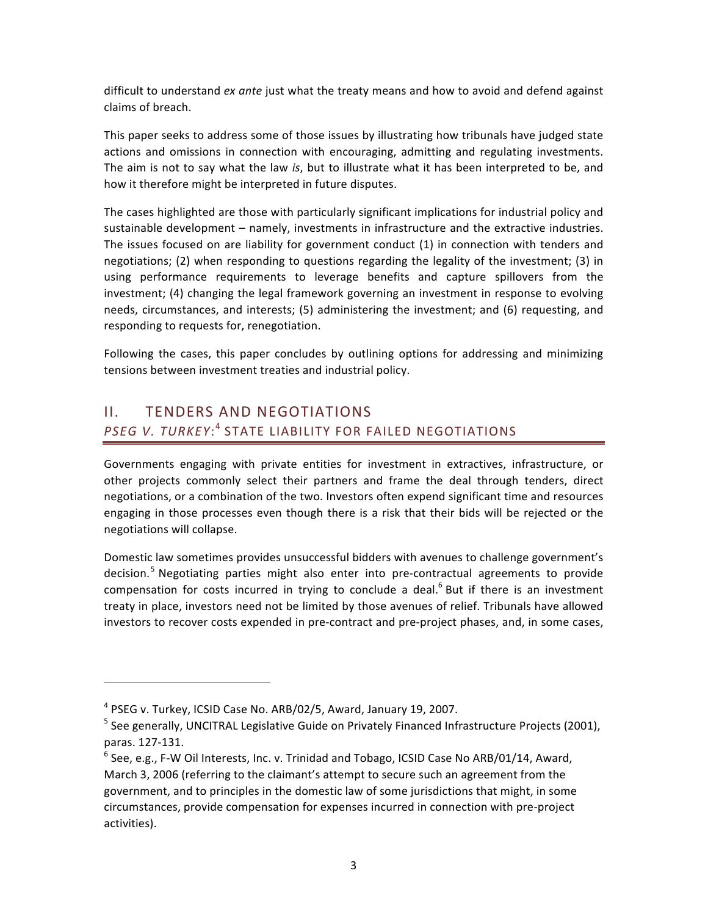difficult to understand *ex ante* just what the treaty means and how to avoid and defend against claims of breach.

This paper seeks to address some of those issues by illustrating how tribunals have judged state actions and omissions in connection with encouraging, admitting and regulating investments. The aim is not to say what the law is, but to illustrate what it has been interpreted to be, and how it therefore might be interpreted in future disputes.

The cases highlighted are those with particularly significant implications for industrial policy and sustainable development – namely, investments in infrastructure and the extractive industries. The issues focused on are liability for government conduct  $(1)$  in connection with tenders and negotiations; (2) when responding to questions regarding the legality of the investment; (3) in using performance requirements to leverage benefits and capture spillovers from the investment; (4) changing the legal framework governing an investment in response to evolving needs, circumstances, and interests; (5) administering the investment; and (6) requesting, and responding to requests for, renegotiation.

Following the cases, this paper concludes by outlining options for addressing and minimizing tensions between investment treaties and industrial policy.

## II. TENDERS AND NEGOTIATIONS PSEG V. TURKEY:<sup>4</sup> STATE LIABILITY FOR FAILED NEGOTIATIONS

Governments engaging with private entities for investment in extractives, infrastructure, or other projects commonly select their partners and frame the deal through tenders, direct negotiations, or a combination of the two. Investors often expend significant time and resources engaging in those processes even though there is a risk that their bids will be rejected or the negotiations will collapse.

Domestic law sometimes provides unsuccessful bidders with avenues to challenge government's decision.<sup>5</sup> Negotiating parties might also enter into pre-contractual agreements to provide compensation for costs incurred in trying to conclude a deal.<sup>6</sup> But if there is an investment treaty in place, investors need not be limited by those avenues of relief. Tribunals have allowed investors to recover costs expended in pre-contract and pre-project phases, and, in some cases,

 $4$  PSEG v. Turkey, ICSID Case No. ARB/02/5, Award, January 19, 2007.

 $5$  See generally, UNCITRAL Legislative Guide on Privately Financed Infrastructure Projects (2001), paras. 127-131.

 $6$  See, e.g., F-W Oil Interests, Inc. v. Trinidad and Tobago, ICSID Case No ARB/01/14, Award, March 3, 2006 (referring to the claimant's attempt to secure such an agreement from the government, and to principles in the domestic law of some jurisdictions that might, in some circumstances, provide compensation for expenses incurred in connection with pre-project activities).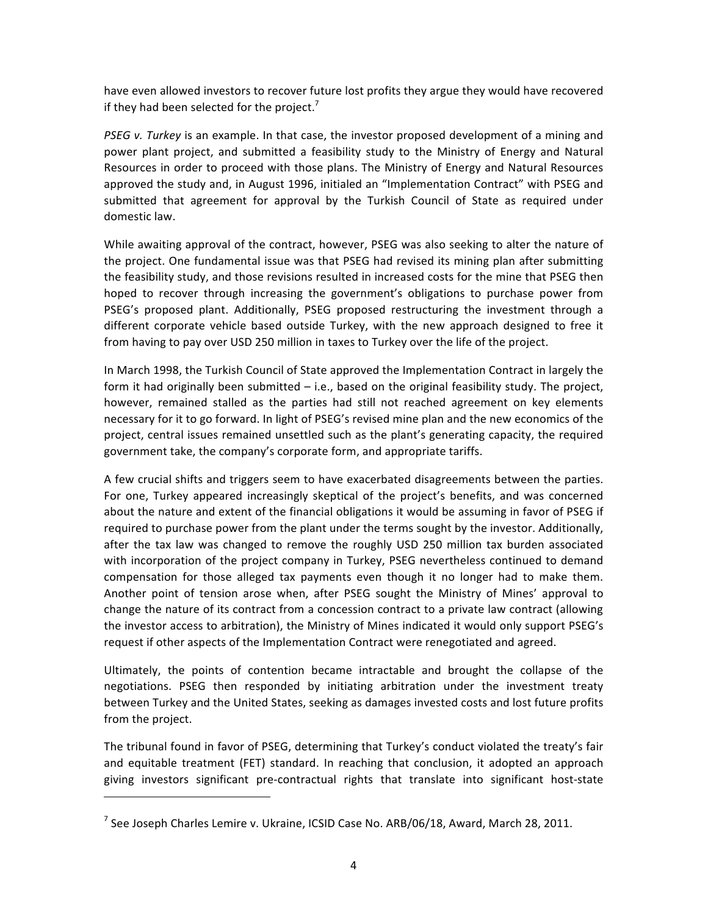have even allowed investors to recover future lost profits they argue they would have recovered if they had been selected for the project.<sup>7</sup>

*PSEG v. Turkey* is an example. In that case, the investor proposed development of a mining and power plant project, and submitted a feasibility study to the Ministry of Energy and Natural Resources in order to proceed with those plans. The Ministry of Energy and Natural Resources approved the study and, in August 1996, initialed an "Implementation Contract" with PSEG and submitted that agreement for approval by the Turkish Council of State as required under domestic law.

While awaiting approval of the contract, however, PSEG was also seeking to alter the nature of the project. One fundamental issue was that PSEG had revised its mining plan after submitting the feasibility study, and those revisions resulted in increased costs for the mine that PSEG then hoped to recover through increasing the government's obligations to purchase power from PSEG's proposed plant. Additionally, PSEG proposed restructuring the investment through a different corporate vehicle based outside Turkey, with the new approach designed to free it from having to pay over USD 250 million in taxes to Turkey over the life of the project.

In March 1998, the Turkish Council of State approved the Implementation Contract in largely the form it had originally been submitted – i.e., based on the original feasibility study. The project, however, remained stalled as the parties had still not reached agreement on key elements necessary for it to go forward. In light of PSEG's revised mine plan and the new economics of the project, central issues remained unsettled such as the plant's generating capacity, the required government take, the company's corporate form, and appropriate tariffs.

A few crucial shifts and triggers seem to have exacerbated disagreements between the parties. For one, Turkey appeared increasingly skeptical of the project's benefits, and was concerned about the nature and extent of the financial obligations it would be assuming in favor of PSEG if required to purchase power from the plant under the terms sought by the investor. Additionally, after the tax law was changed to remove the roughly USD 250 million tax burden associated with incorporation of the project company in Turkey, PSEG nevertheless continued to demand compensation for those alleged tax payments even though it no longer had to make them. Another point of tension arose when, after PSEG sought the Ministry of Mines' approval to change the nature of its contract from a concession contract to a private law contract (allowing the investor access to arbitration), the Ministry of Mines indicated it would only support PSEG's request if other aspects of the Implementation Contract were renegotiated and agreed.

Ultimately, the points of contention became intractable and brought the collapse of the negotiations. PSEG then responded by initiating arbitration under the investment treaty between Turkey and the United States, seeking as damages invested costs and lost future profits from the project.

The tribunal found in favor of PSEG, determining that Turkey's conduct violated the treaty's fair and equitable treatment (FET) standard. In reaching that conclusion, it adopted an approach giving investors significant pre-contractual rights that translate into significant host-state

<sup>&</sup>lt;sup>7</sup> See Joseph Charles Lemire v. Ukraine, ICSID Case No. ARB/06/18, Award, March 28, 2011.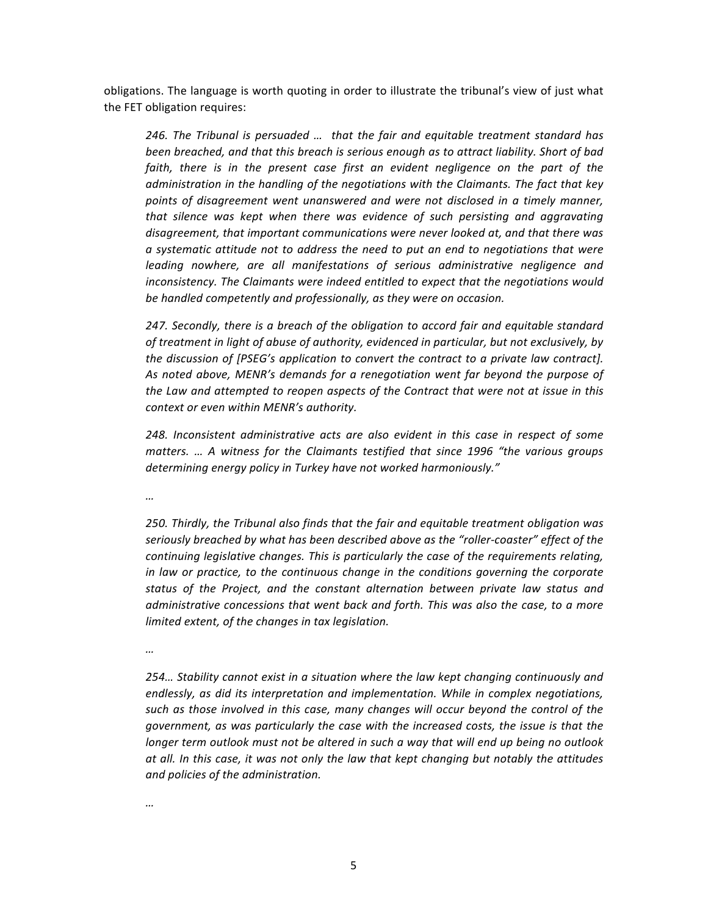obligations. The language is worth quoting in order to illustrate the tribunal's view of just what the FET obligation requires:

246. The Tribunal is persuaded ... that the fair and equitable treatment standard has been breached, and that this breach is serious enough as to attract liability. Short of bad faith, there is in the present case first an evident negligence on the part of the *administration in the handling of the negotiations with the Claimants. The fact that key* points of disagreement went unanswered and were not disclosed in a timely manner, that silence was kept when there was evidence of such persisting and aggravating disagreement, that important communications were never looked at, and that there was  $a$  systematic attitude not to address the need to put an end to negotiations that were leading nowhere, are all manifestations of serious administrative negligence and inconsistency. The Claimants were indeed entitled to expect that the negotiations would be handled competently and professionally, as they were on occasion.

247. Secondly, there is a breach of the obligation to accord fair and equitable standard *of treatment in light of abuse of authority, evidenced in particular, but not exclusively, by the discussion of [PSEG's application to convert the contract to a private law contract].* As noted above, MENR's demands for a renegotiation went far beyond the purpose of the Law and attempted to reopen aspects of the Contract that were not at issue in this *context or even within MENR's authority.* 

248. Inconsistent administrative acts are also evident in this case in respect of some *matters.* ... A witness for the Claimants testified that since 1996 "the various groups determining energy policy in Turkey have not worked harmoniously."

*…*

250. Thirdly, the Tribunal also finds that the fair and equitable treatment obligation was seriously breached by what has been described above as the "roller-coaster" effect of the *continuing legislative changes. This is particularly the case of the requirements relating, in law or practice, to the continuous change in the conditions governing the corporate* status of the Project, and the constant alternation between private law status and dministrative concessions that went back and forth. This was also the case, to a more *limited extent, of the changes in tax legislation.* 

*…*

254… Stability cannot exist in a situation where the law kept changing continuously and endlessly, as did its interpretation and implementation. While in complex negotiations, such as those involved in this case, many changes will occur beyond the control of the *government, as was particularly the case with the increased costs, the issue is that the* longer term outlook must not be altered in such a way that will end up being no outlook at all. In this case, it was not only the law that kept changing but notably the attitudes  $and$  policies of the administration.

*…*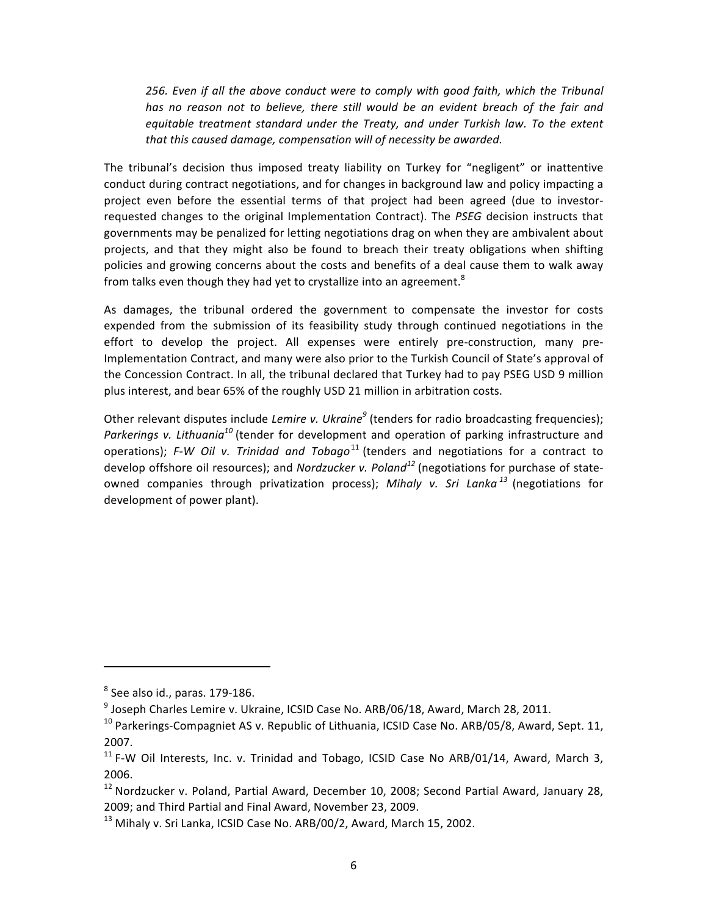256. Even if all the above conduct were to comply with good faith, which the Tribunal has no reason not to believe, there still would be an evident breach of the fair and equitable treatment standard under the Treaty, and under Turkish law. To the extent that this caused damage, compensation will of necessity be awarded.

The tribunal's decision thus imposed treaty liability on Turkey for "negligent" or inattentive conduct during contract negotiations, and for changes in background law and policy impacting a project even before the essential terms of that project had been agreed (due to investorrequested changes to the original Implementation Contract). The *PSEG* decision instructs that governments may be penalized for letting negotiations drag on when they are ambivalent about projects, and that they might also be found to breach their treaty obligations when shifting policies and growing concerns about the costs and benefits of a deal cause them to walk away from talks even though they had yet to crystallize into an agreement.<sup>8</sup>

As damages, the tribunal ordered the government to compensate the investor for costs expended from the submission of its feasibility study through continued negotiations in the effort to develop the project. All expenses were entirely pre-construction, many pre-Implementation Contract, and many were also prior to the Turkish Council of State's approval of the Concession Contract. In all, the tribunal declared that Turkey had to pay PSEG USD 9 million plus interest, and bear 65% of the roughly USD 21 million in arbitration costs.

Other relevant disputes include *Lemire v. Ukraine<sup>9</sup>* (tenders for radio broadcasting frequencies); *Parkerings v. Lithuania<sup>10</sup>* (tender for development and operation of parking infrastructure and operations); F-W Oil v. Trinidad and Tobago<sup>11</sup> (tenders and negotiations for a contract to develop offshore oil resources); and *Nordzucker v. Poland*<sup>12</sup> (negotiations for purchase of stateowned companies through privatization process); Mihaly v. Sri Lanka<sup> 13</sup> (negotiations for development of power plant).

 $8$  See also id., paras. 179-186.

 $9$  Joseph Charles Lemire v. Ukraine, ICSID Case No. ARB/06/18, Award, March 28, 2011.

 $10$  Parkerings-Compagniet AS v. Republic of Lithuania, ICSID Case No. ARB/05/8, Award, Sept. 11, 2007.

<sup>&</sup>lt;sup>11</sup> F-W Oil Interests, Inc. v. Trinidad and Tobago, ICSID Case No ARB/01/14, Award, March 3, 2006.

<sup>&</sup>lt;sup>12</sup> Nordzucker v. Poland, Partial Award, December 10, 2008; Second Partial Award, January 28, 2009; and Third Partial and Final Award, November 23, 2009.

 $^{13}$  Mihaly v. Sri Lanka, ICSID Case No. ARB/00/2, Award, March 15, 2002.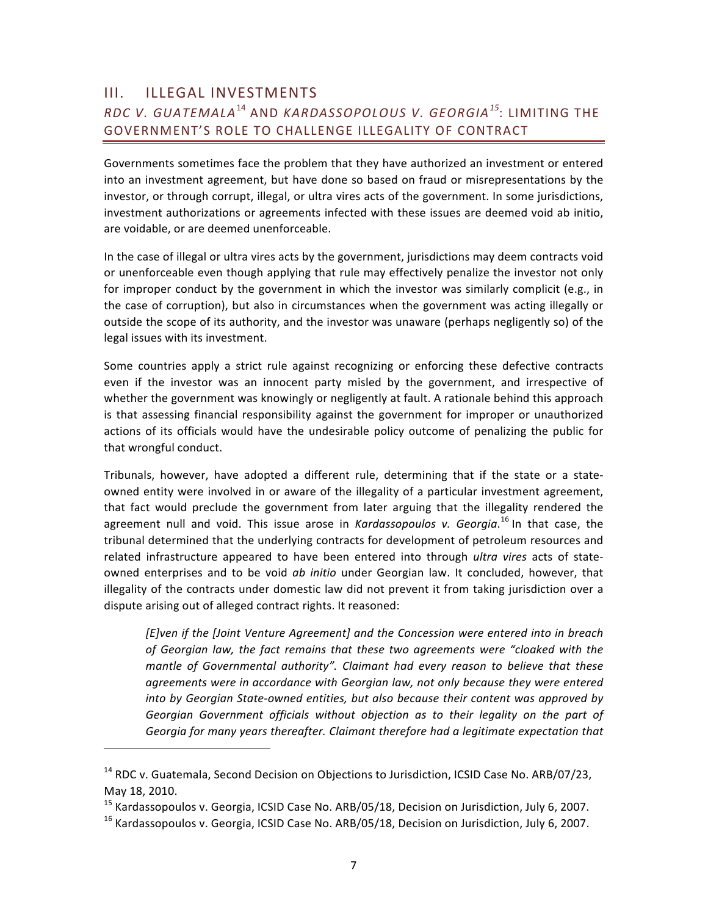### III. ILLEGAL INVESTMENTS *RDC(V.(GUATEMALA*<sup>14</sup> AND *KARDASSOPOLOUS(V.(GEORGIA<sup>15</sup>* :&LIMITING&THE& GOVERNMENT'S ROLE TO CHALLENGE ILLEGALITY OF CONTRACT

Governments sometimes face the problem that they have authorized an investment or entered into an investment agreement, but have done so based on fraud or misrepresentations by the investor, or through corrupt, illegal, or ultra vires acts of the government. In some jurisdictions, investment authorizations or agreements infected with these issues are deemed void ab initio, are voidable, or are deemed unenforceable.

In the case of illegal or ultra vires acts by the government, jurisdictions may deem contracts void or unenforceable even though applying that rule may effectively penalize the investor not only for improper conduct by the government in which the investor was similarly complicit (e.g., in the case of corruption), but also in circumstances when the government was acting illegally or outside the scope of its authority, and the investor was unaware (perhaps negligently so) of the legal issues with its investment.

Some countries apply a strict rule against recognizing or enforcing these defective contracts even if the investor was an innocent party misled by the government, and irrespective of whether the government was knowingly or negligently at fault. A rationale behind this approach is that assessing financial responsibility against the government for improper or unauthorized actions of its officials would have the undesirable policy outcome of penalizing the public for that wrongful conduct.

Tribunals, however, have adopted a different rule, determining that if the state or a stateowned entity were involved in or aware of the illegality of a particular investment agreement, that fact would preclude the government from later arguing that the illegality rendered the agreement null and void. This issue arose in *Kardassopoulos v. Georgia*.<sup>16</sup> In that case, the tribunal determined that the underlying contracts for development of petroleum resources and related infrastructure appeared to have been entered into through *ultra vires* acts of stateowned enterprises and to be void ab initio under Georgian law. It concluded, however, that illegality of the contracts under domestic law did not prevent it from taking jurisdiction over a dispute arising out of alleged contract rights. It reasoned:

*[E]ven if the [Joint Venture Agreement] and the Concession were entered into in breach* of Georgian law, the fact remains that these two agreements were "cloaked with the mantle of Governmental authority". Claimant had every reason to believe that these agreements were in accordance with Georgian law, not only because they were entered *into by Georgian State-owned entities, but also because their content was approved by* Georgian Government officials without objection as to their legality on the part of Georgia for many years thereafter. Claimant therefore had a legitimate expectation that

<sup>&</sup>lt;sup>14</sup> RDC v. Guatemala, Second Decision on Objections to Jurisdiction, ICSID Case No. ARB/07/23, May 18, 2010.

<sup>&</sup>lt;sup>15</sup> Kardassopoulos v. Georgia, ICSID Case No. ARB/05/18, Decision on Jurisdiction, July 6, 2007.

 $16$  Kardassopoulos v. Georgia, ICSID Case No. ARB/05/18, Decision on Jurisdiction, July 6, 2007.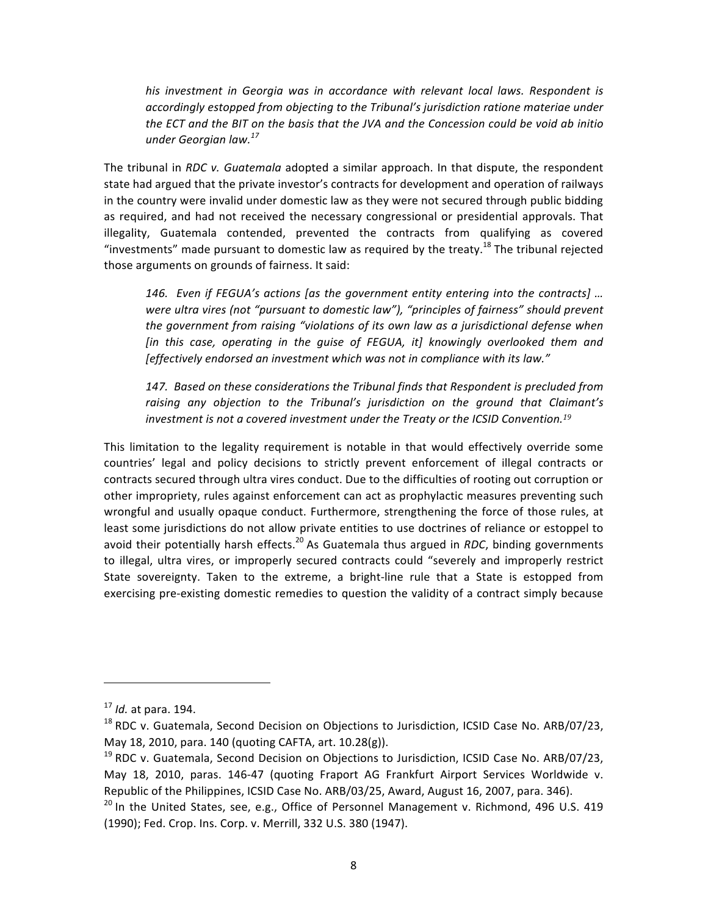his investment in Georgia was in accordance with relevant local laws. Respondent is accordingly estopped from objecting to the Tribunal's jurisdiction ratione materiae under the ECT and the BIT on the basis that the JVA and the Concession could be void ab initio *under Georgian law.*<sup>17</sup>

The tribunal in *RDC v. Guatemala* adopted a similar approach. In that dispute, the respondent state had argued that the private investor's contracts for development and operation of railways in the country were invalid under domestic law as they were not secured through public bidding as required, and had not received the necessary congressional or presidential approvals. That illegality, Guatemala contended, prevented the contracts from qualifying as covered "investments" made pursuant to domestic law as required by the treaty.<sup>18</sup> The tribunal rejected those arguments on grounds of fairness. It said:

146. Even if FEGUA's actions (as the government entity entering into the contracts) ... *were ultra vires (not "pursuant to domestic law"), "principles of fairness" should prevent* the government from raising "violations of its own law as a jurisdictional defense when *[in this case, operating in the guise of FEGUA, it] knowingly overlooked them and [effectively endorsed an investment which was not in compliance with its law."* 

147. Based on these considerations the Tribunal finds that Respondent is precluded from raising any objection to the Tribunal's jurisdiction on the ground that Claimant's *investment is not a covered investment under the Treaty or the ICSID Convention.<sup>19</sup>* 

This limitation to the legality requirement is notable in that would effectively override some countries' legal and policy decisions to strictly prevent enforcement of illegal contracts or contracts secured through ultra vires conduct. Due to the difficulties of rooting out corruption or other impropriety, rules against enforcement can act as prophylactic measures preventing such wrongful and usually opaque conduct. Furthermore, strengthening the force of those rules, at least some jurisdictions do not allow private entities to use doctrines of reliance or estoppel to avoid their potentially harsh effects.<sup>20</sup> As Guatemala thus argued in *RDC*, binding governments to illegal, ultra vires, or improperly secured contracts could "severely and improperly restrict State sovereignty. Taken to the extreme, a bright-line rule that a State is estopped from exercising pre-existing domestic remedies to question the validity of a contract simply because

 $17$  *Id.* at para, 194.

 $^{18}$  RDC v. Guatemala, Second Decision on Objections to Jurisdiction, ICSID Case No. ARB/07/23, May 18, 2010, para. 140 (quoting CAFTA, art. 10.28(g)).

<sup>&</sup>lt;sup>19</sup> RDC v. Guatemala, Second Decision on Objections to Jurisdiction, ICSID Case No. ARB/07/23, May 18, 2010, paras. 146-47 (quoting Fraport AG Frankfurt Airport Services Worldwide v. Republic of the Philippines, ICSID Case No. ARB/03/25, Award, August 16, 2007, para. 346).

 $20$  In the United States, see, e.g., Office of Personnel Management v. Richmond, 496 U.S. 419 (1990); Fed. Crop. Ins. Corp. v. Merrill, 332 U.S. 380 (1947).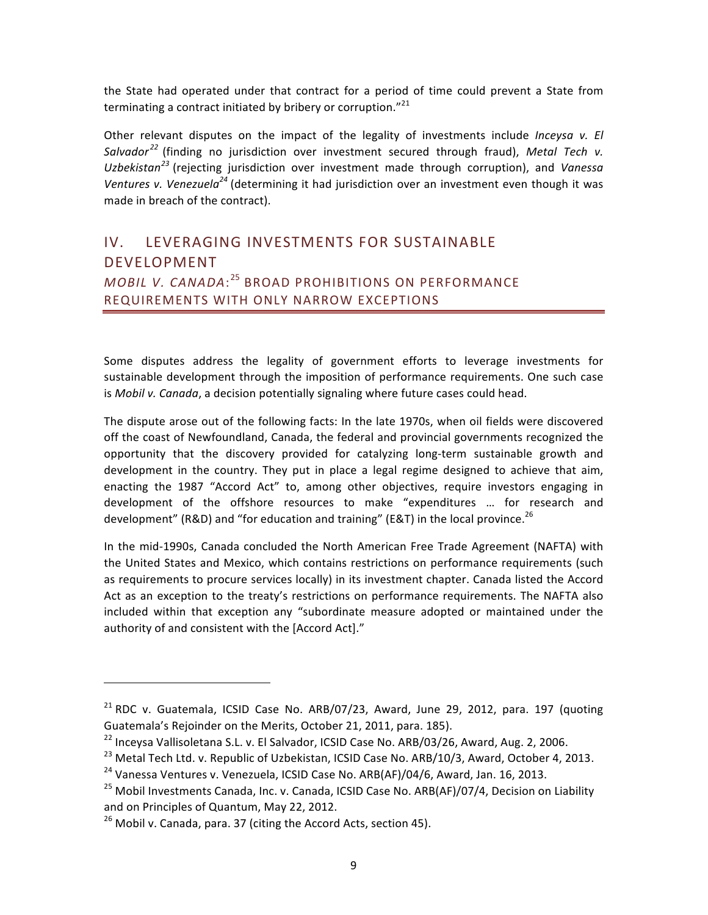the State had operated under that contract for a period of time could prevent a State from terminating a contract initiated by bribery or corruption." $^{21}$ 

Other relevant disputes on the impact of the legality of investments include *Inceysa v. El* Salvador<sup>22</sup> (finding no jurisdiction over investment secured through fraud), Metal Tech v. *Uzbekistan<sup>23</sup>* (rejecting jurisdiction over investment made through corruption), and *Vanessa Ventures v. Venezuela*<sup>24</sup> (determining it had jurisdiction over an investment even though it was made in breach of the contract).

## IV. LEVERAGING INVESTMENTS FOR SUSTAINABLE DEVELOPMENT *MOBIL V. CANADA*:<sup>25</sup> BROAD PROHIBITIONS ON PERFORMANCE REQUIREMENTS WITH ONLY NARROW EXCEPTIONS

Some disputes address the legality of government efforts to leverage investments for sustainable development through the imposition of performance requirements. One such case is Mobil v. Canada, a decision potentially signaling where future cases could head.

The dispute arose out of the following facts: In the late 1970s, when oil fields were discovered off the coast of Newfoundland, Canada, the federal and provincial governments recognized the opportunity that the discovery provided for catalyzing long-term sustainable growth and development in the country. They put in place a legal regime designed to achieve that aim, enacting the 1987 "Accord Act" to, among other objectives, require investors engaging in development of the offshore resources to make "expenditures ... for research and development" (R&D) and "for education and training" (E&T) in the local province.<sup>26</sup>

In the mid-1990s, Canada concluded the North American Free Trade Agreement (NAFTA) with the United States and Mexico, which contains restrictions on performance requirements (such as requirements to procure services locally) in its investment chapter. Canada listed the Accord Act as an exception to the treaty's restrictions on performance requirements. The NAFTA also included within that exception any "subordinate measure adopted or maintained under the authority of and consistent with the [Accord Act]."

<sup>&</sup>lt;sup>21</sup> RDC v. Guatemala, ICSID Case No. ARB/07/23, Award, June 29, 2012, para. 197 (quoting Guatemala's Rejoinder on the Merits, October 21, 2011, para. 185).

 $^{22}$  Inceysa Vallisoletana S.L. v. El Salvador, ICSID Case No. ARB/03/26, Award, Aug. 2, 2006.

<sup>&</sup>lt;sup>23</sup> Metal Tech Ltd. v. Republic of Uzbekistan, ICSID Case No. ARB/10/3, Award, October 4, 2013.

<sup>&</sup>lt;sup>24</sup> Vanessa Ventures v. Venezuela, ICSID Case No. ARB(AF)/04/6, Award, Jan. 16, 2013.

<sup>&</sup>lt;sup>25</sup> Mobil Investments Canada, Inc. v. Canada, ICSID Case No. ARB(AF)/07/4, Decision on Liability and on Principles of Quantum, May 22, 2012.

 $^{26}$  Mobil v. Canada, para. 37 (citing the Accord Acts, section 45).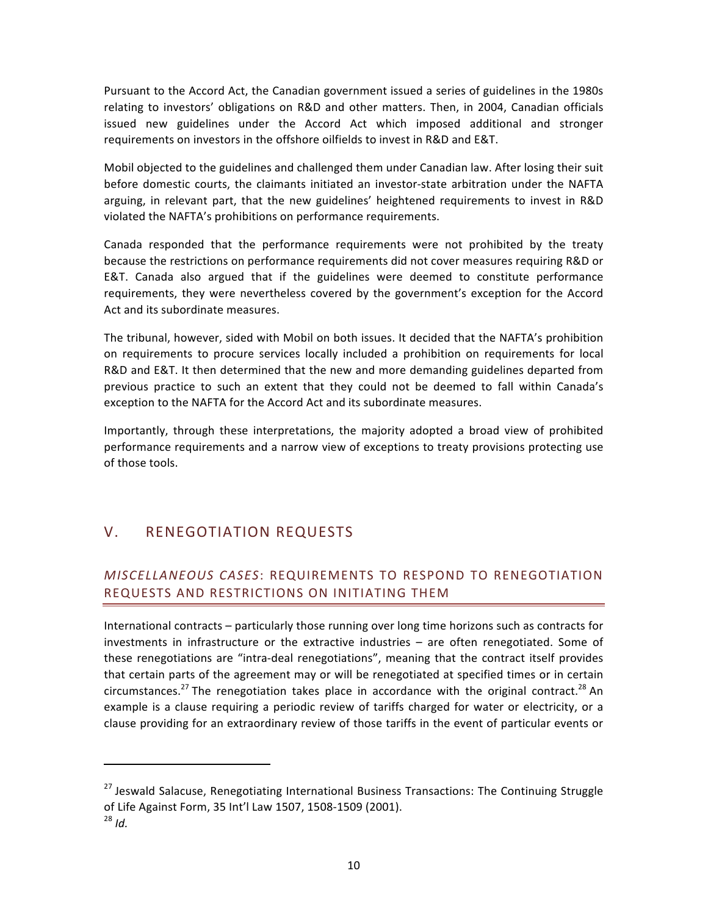Pursuant to the Accord Act, the Canadian government issued a series of guidelines in the 1980s relating to investors' obligations on R&D and other matters. Then, in 2004, Canadian officials issued new guidelines under the Accord Act which imposed additional and stronger requirements on investors in the offshore oilfields to invest in R&D and E&T.

Mobil objected to the guidelines and challenged them under Canadian law. After losing their suit before domestic courts, the claimants initiated an investor-state arbitration under the NAFTA arguing, in relevant part, that the new guidelines' heightened requirements to invest in R&D violated the NAFTA's prohibitions on performance requirements.

Canada responded that the performance requirements were not prohibited by the treaty because the restrictions on performance requirements did not cover measures requiring R&D or E&T. Canada also argued that if the guidelines were deemed to constitute performance requirements, they were nevertheless covered by the government's exception for the Accord Act and its subordinate measures.

The tribunal, however, sided with Mobil on both issues. It decided that the NAFTA's prohibition on requirements to procure services locally included a prohibition on requirements for local R&D and E&T. It then determined that the new and more demanding guidelines departed from previous practice to such an extent that they could not be deemed to fall within Canada's exception to the NAFTA for the Accord Act and its subordinate measures.

Importantly, through these interpretations, the majority adopted a broad view of prohibited performance requirements and a narrow view of exceptions to treaty provisions protecting use of those tools.

## V. RENEGOTIATION REQUESTS

### *MISCELLANEOUS(CASES*:&REQUIREMENTS&TO&RESPOND&TO&RENEGOTIATION& REQUESTS AND RESTRICTIONS ON INITIATING THEM

International contracts - particularly those running over long time horizons such as contracts for investments in infrastructure or the extractive industries – are often renegotiated. Some of these renegotiations are "intra-deal renegotiations", meaning that the contract itself provides that certain parts of the agreement may or will be renegotiated at specified times or in certain circumstances.<sup>27</sup> The renegotiation takes place in accordance with the original contract.<sup>28</sup> An example is a clause requiring a periodic review of tariffs charged for water or electricity, or a clause providing for an extraordinary review of those tariffs in the event of particular events or

<sup>&</sup>lt;sup>27</sup> Jeswald Salacuse, Renegotiating International Business Transactions: The Continuing Struggle of Life Against Form, 35 Int'l Law 1507, 1508-1509 (2001).

<sup>28</sup> *Id.*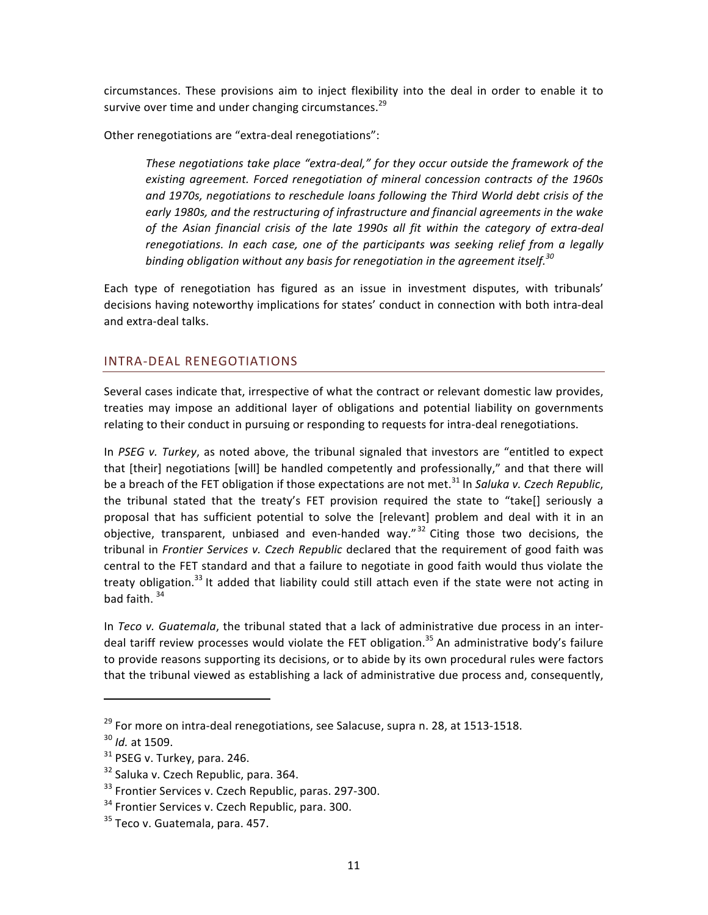circumstances. These provisions aim to inject flexibility into the deal in order to enable it to survive over time and under changing circumstances.<sup>29</sup>

Other renegotiations are "extra-deal renegotiations":

These negotiations take place "extra-deal," for they occur outside the framework of the  $e$ xisting agreement. Forced renegotiation of mineral concession contracts of the 1960s and 1970s, negotiations to reschedule loans following the Third World debt crisis of the early 1980s, and the restructuring of infrastructure and financial agreements in the wake of the Asian financial crisis of the late 1990s all fit within the category of extra-deal renegotiations. In each case, one of the participants was seeking relief from a legally binding obligation without any basis for renegotiation in the agreement itself.<sup>30</sup>

Each type of renegotiation has figured as an issue in investment disputes, with tribunals' decisions having noteworthy implications for states' conduct in connection with both intra-deal and extra-deal talks.

#### INTRA-DEAL RENEGOTIATIONS

Several cases indicate that, irrespective of what the contract or relevant domestic law provides, treaties may impose an additional layer of obligations and potential liability on governments relating to their conduct in pursuing or responding to requests for intra-deal renegotiations.

In PSEG v. Turkey, as noted above, the tribunal signaled that investors are "entitled to expect that [their] negotiations [will] be handled competently and professionally," and that there will be a breach of the FET obligation if those expectations are not met.<sup>31</sup> In *Saluka v. Czech Republic.* the tribunal stated that the treaty's FET provision required the state to "take[] seriously a proposal that has sufficient potential to solve the [relevant] problem and deal with it in an objective, transparent, unbiased and even-handed way."<sup>32</sup> Citing those two decisions, the tribunal in Frontier Services v. Czech Republic declared that the requirement of good faith was central to the FET standard and that a failure to negotiate in good faith would thus violate the treaty obligation.<sup>33</sup> It added that liability could still attach even if the state were not acting in bad faith.  $34$ 

In Teco v. Guatemala, the tribunal stated that a lack of administrative due process in an interdeal tariff review processes would violate the FET obligation.<sup>35</sup> An administrative body's failure to provide reasons supporting its decisions, or to abide by its own procedural rules were factors that the tribunal viewed as establishing a lack of administrative due process and, consequently,

 $^{29}$  For more on intra-deal renegotiations, see Salacuse, supra n. 28, at 1513-1518.

<sup>&</sup>lt;sup>30</sup> *Id.* at 1509.

 $31$  PSEG v. Turkey, para. 246.

<sup>&</sup>lt;sup>32</sup> Saluka v. Czech Republic, para. 364.

 $33$  Frontier Services v. Czech Republic, paras. 297-300.

<sup>&</sup>lt;sup>34</sup> Frontier Services v. Czech Republic, para. 300.

 $35$  Teco v. Guatemala, para. 457.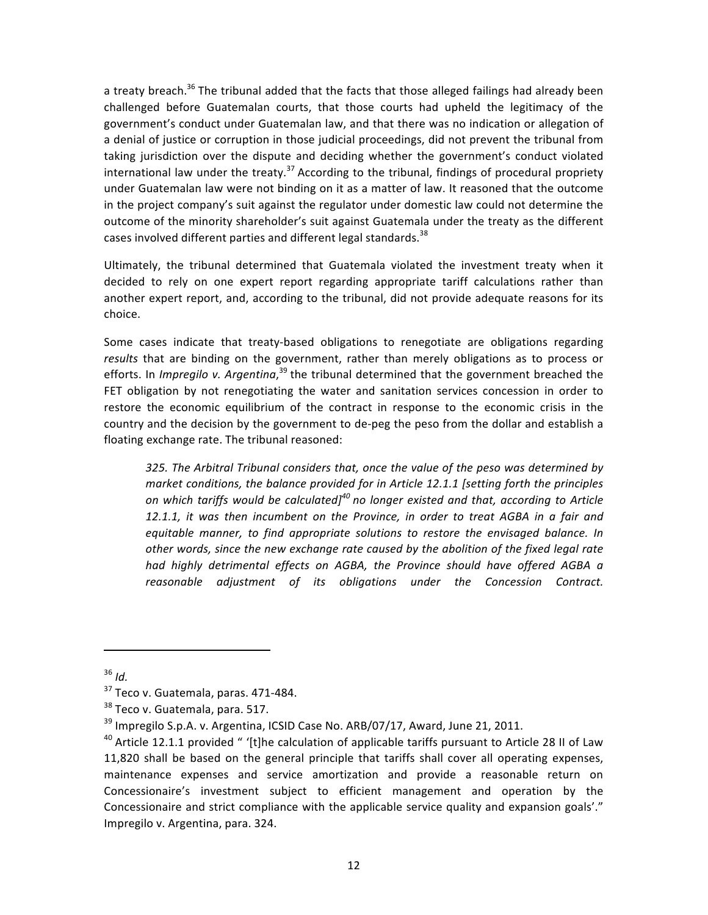a treaty breach.<sup>36</sup> The tribunal added that the facts that those alleged failings had already been challenged before Guatemalan courts, that those courts had upheld the legitimacy of the government's conduct under Guatemalan law, and that there was no indication or allegation of a denial of justice or corruption in those judicial proceedings, did not prevent the tribunal from taking jurisdiction over the dispute and deciding whether the government's conduct violated international law under the treaty.<sup>37</sup> According to the tribunal, findings of procedural propriety under Guatemalan law were not binding on it as a matter of law. It reasoned that the outcome in the project company's suit against the regulator under domestic law could not determine the outcome of the minority shareholder's suit against Guatemala under the treaty as the different cases involved different parties and different legal standards.<sup>38</sup>

Ultimately, the tribunal determined that Guatemala violated the investment treaty when it decided to rely on one expert report regarding appropriate tariff calculations rather than another expert report, and, according to the tribunal, did not provide adequate reasons for its choice.

Some cases indicate that treaty-based obligations to renegotiate are obligations regarding results that are binding on the government, rather than merely obligations as to process or efforts. In *Impregilo v. Argentina*,<sup>39</sup> the tribunal determined that the government breached the FET obligation by not renegotiating the water and sanitation services concession in order to restore the economic equilibrium of the contract in response to the economic crisis in the country and the decision by the government to de-peg the peso from the dollar and establish a floating exchange rate. The tribunal reasoned:

325. The Arbitral Tribunal considers that, once the value of the peso was determined by market conditions, the balance provided for in Article 12.1.1 [setting forth the principles *on which tariffs would be calculated]*<sup>40</sup> no longer existed and that, according to Article 12.1.1, it was then incumbent on the Province, in order to treat AGBA in a fair and equitable manner, to find appropriate solutions to restore the envisaged balance. In other words, since the new exchange rate caused by the abolition of the fixed legal rate had highly detrimental effects on AGBA, the Province should have offered AGBA a reasonable adjustment of its obligations under the Concession Contract.

<sup>36</sup> *Id.*

 $37$  Teco v. Guatemala, paras. 471-484.

 $38$  Teco v. Guatemala, para. 517.

 $39$  Impregilo S.p.A. v. Argentina, ICSID Case No. ARB/07/17, Award, June 21, 2011.

<sup>&</sup>lt;sup>40</sup> Article 12.1.1 provided " '[t]he calculation of applicable tariffs pursuant to Article 28 II of Law 11,820 shall be based on the general principle that tariffs shall cover all operating expenses, maintenance expenses and service amortization and provide a reasonable return on Concessionaire's investment subject to efficient management and operation by the Concessionaire and strict compliance with the applicable service quality and expansion goals'." Impregilo v. Argentina, para. 324.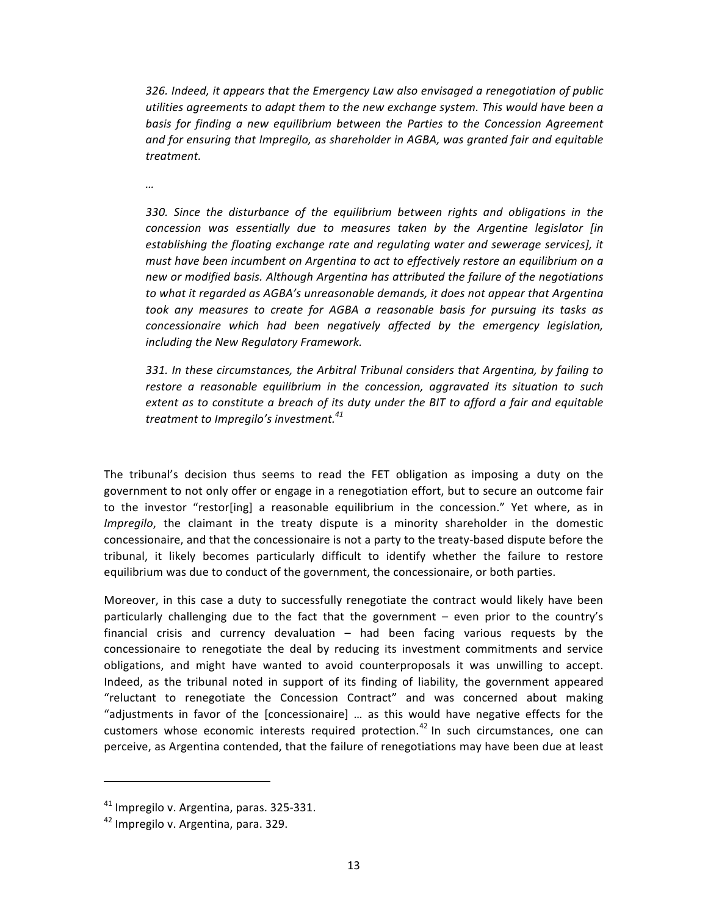326. Indeed, it appears that the Emergency Law also envisaged a renegotiation of public *utilities agreements to adapt them to the new exchange system. This would have been a* basis for finding a new equilibrium between the Parties to the Concession Agreement and for ensuring that Impregilo, as shareholder in AGBA, was granted fair and equitable *treatment.*

*…*

330. Since the disturbance of the equilibrium between rights and obligations in the concession was essentially due to measures taken by the Argentine legislator [in *establishing the floating exchange rate and regulating water and sewerage services], it* must have been incumbent on Argentina to act to effectively restore an equilibrium on a *new(or(modified(basis.(Although(Argentina(has(attributed(the(failure(of(the(negotiations(* to what it regarded as AGBA's unreasonable demands, it does not appear that Argentina took any measures to create for AGBA a reasonable basis for pursuing its tasks as concessionaire which had been negatively affected by the emergency legislation, *including the New Regulatory Framework.* 

*331. In these circumstances, the Arbitral Tribunal considers that Argentina, by failing to* restore a reasonable equilibrium in the concession, aggravated its situation to such *extent as to constitute a breach of its duty under the BIT to afford a fair and equitable treatment to Impregilo's investment.*<sup>41</sup>

The tribunal's decision thus seems to read the FET obligation as imposing a duty on the government to not only offer or engage in a renegotiation effort, but to secure an outcome fair to the investor "restor[ing] a reasonable equilibrium in the concession." Yet where, as in *Impregilo*, the claimant in the treaty dispute is a minority shareholder in the domestic concessionaire, and that the concessionaire is not a party to the treaty-based dispute before the tribunal, it likely becomes particularly difficult to identify whether the failure to restore equilibrium was due to conduct of the government, the concessionaire, or both parties.

Moreover, in this case a duty to successfully renegotiate the contract would likely have been particularly challenging due to the fact that the government – even prior to the country's financial crisis and currency devaluation – had been facing various requests by the concessionaire to renegotiate the deal by reducing its investment commitments and service obligations, and might have wanted to avoid counterproposals it was unwilling to accept. Indeed, as the tribunal noted in support of its finding of liability, the government appeared "reluctant to renegotiate the Concession Contract" and was concerned about making "adjustments in favor of the [concessionaire] ... as this would have negative effects for the customers whose economic interests required protection.<sup>42</sup> In such circumstances, one can perceive, as Argentina contended, that the failure of renegotiations may have been due at least

 $41$  Impregilo v. Argentina, paras. 325-331.

<sup>&</sup>lt;sup>42</sup> Impregilo v. Argentina, para. 329.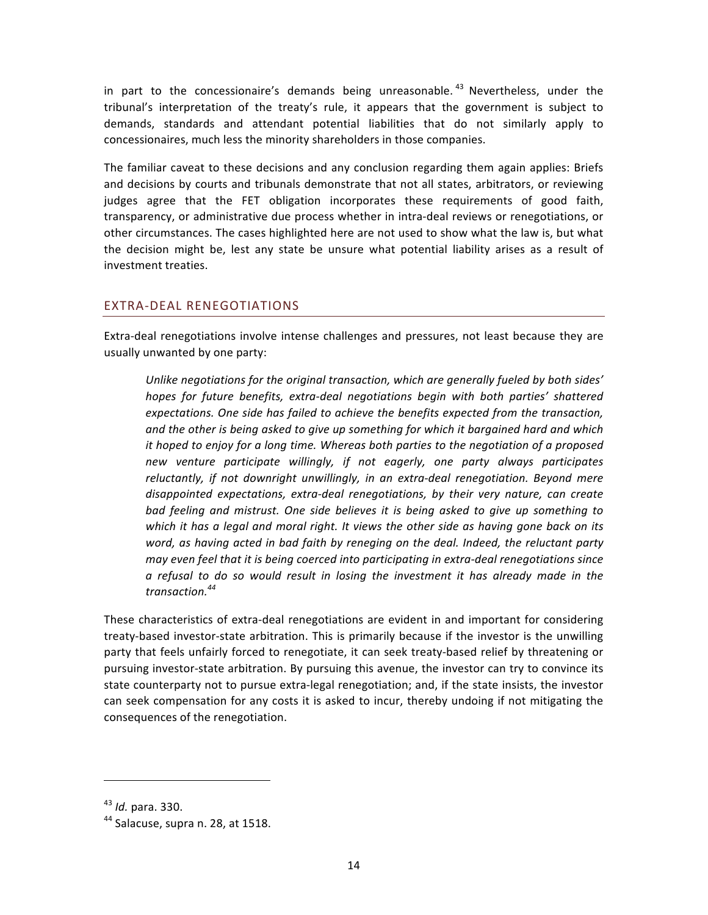in part to the concessionaire's demands being unreasonable.  $43$  Nevertheless, under the tribunal's interpretation of the treaty's rule, it appears that the government is subject to demands, standards and attendant potential liabilities that do not similarly apply to concessionaires, much less the minority shareholders in those companies.

The familiar caveat to these decisions and any conclusion regarding them again applies: Briefs and decisions by courts and tribunals demonstrate that not all states, arbitrators, or reviewing judges agree that the FET obligation incorporates these requirements of good faith, transparency, or administrative due process whether in intra-deal reviews or renegotiations, or other circumstances. The cases highlighted here are not used to show what the law is, but what the decision might be, lest any state be unsure what potential liability arises as a result of investment treaties.

#### EXTRA-DEAL RENEGOTIATIONS

Extra-deal renegotiations involve intense challenges and pressures, not least because they are usually unwanted by one party:

Unlike negotiations for the original transaction, which are generally fueled by both sides' hopes for future benefits, extra-deal negotiations begin with both parties' shattered *expectations.* One side has failed to achieve the benefits expected from the transaction, and the other is being asked to give up something for which it bargained hard and which *it hoped to enjoy for a long time. Whereas both parties to the negotiation of a proposed new* venture participate willingly, if not eagerly, one party always participates reluctantly, if not downright unwillingly, in an extra-deal renegotiation. Beyond mere disappointed expectations, extra-deal renegotiations, by their very nature, can create bad feeling and mistrust. One side believes it is being asked to give up something to which it has a legal and moral right. It views the other side as having gone back on its word, as having acted in bad faith by reneging on the deal. Indeed, the reluctant party may even feel that it is being coerced into participating in extra-deal renegotiations since  $a$  refusal to do so would result in losing the investment it has already made in the *transaction.44*

These characteristics of extra-deal renegotiations are evident in and important for considering treaty-based investor-state arbitration. This is primarily because if the investor is the unwilling party that feels unfairly forced to renegotiate, it can seek treaty-based relief by threatening or pursuing investor-state arbitration. By pursuing this avenue, the investor can try to convince its state counterparty not to pursue extra-legal renegotiation; and, if the state insists, the investor can seek compensation for any costs it is asked to incur, thereby undoing if not mitigating the consequences of the renegotiation.

<sup>&</sup>lt;sup>43</sup> *Id.* para. 330.

 $44$  Salacuse, supra n. 28, at 1518.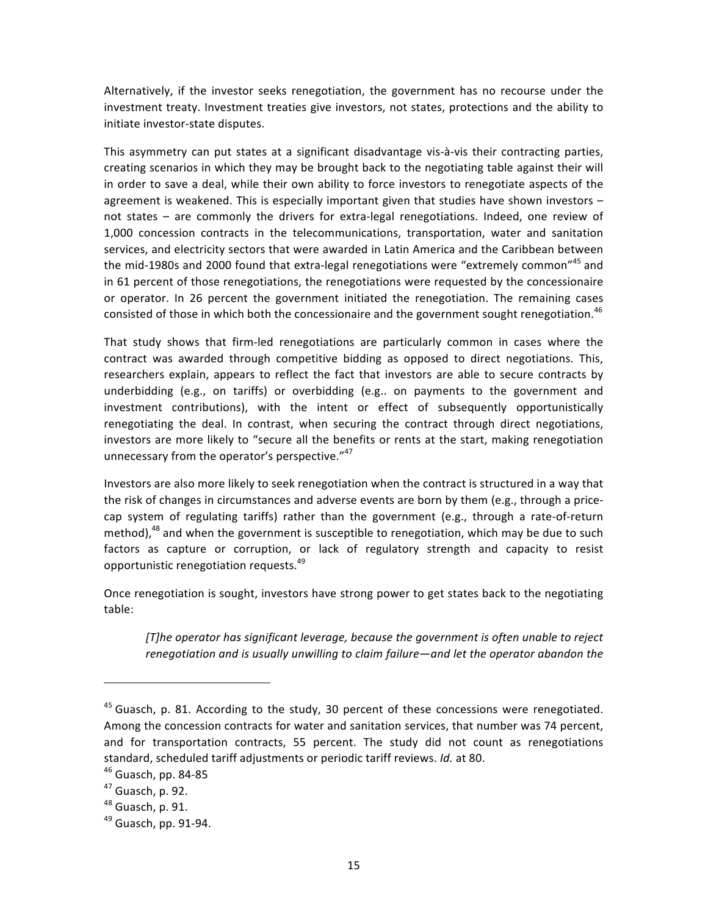Alternatively, if the investor seeks renegotiation, the government has no recourse under the investment treaty. Investment treaties give investors, not states, protections and the ability to initiate investor-state disputes.

This asymmetry can put states at a significant disadvantage vis-à-vis their contracting parties, creating scenarios in which they may be brought back to the negotiating table against their will in order to save a deal, while their own ability to force investors to renegotiate aspects of the agreement is weakened. This is especially important given that studies have shown investors  $$ not states – are commonly the drivers for extra-legal renegotiations. Indeed, one review of 1,000 concession contracts in the telecommunications, transportation, water and sanitation services, and electricity sectors that were awarded in Latin America and the Caribbean between the mid-1980s and 2000 found that extra-legal renegotiations were "extremely common"<sup>45</sup> and in 61 percent of those renegotiations, the renegotiations were requested by the concessionaire or operator. In 26 percent the government initiated the renegotiation. The remaining cases consisted of those in which both the concessionaire and the government sought renegotiation.<sup>46</sup>

That study shows that firm-led renegotiations are particularly common in cases where the contract was awarded through competitive bidding as opposed to direct negotiations. This, researchers explain, appears to reflect the fact that investors are able to secure contracts by underbidding (e.g., on tariffs) or overbidding (e.g.. on payments to the government and investment contributions), with the intent or effect of subsequently opportunistically renegotiating the deal. In contrast, when securing the contract through direct negotiations, investors are more likely to "secure all the benefits or rents at the start, making renegotiation unnecessary from the operator's perspective."47

Investors are also more likely to seek renegotiation when the contract is structured in a way that the risk of changes in circumstances and adverse events are born by them (e.g., through a pricecap system of regulating tariffs) rather than the government (e.g., through a rate-of-return method),<sup>48</sup> and when the government is susceptible to renegotiation, which may be due to such factors as capture or corruption, or lack of regulatory strength and capacity to resist opportunistic renegotiation requests.<sup>49</sup>

Once renegotiation is sought, investors have strong power to get states back to the negotiating table:

*[T]he operator has significant leverage, because the government is often unable to reject* renegotiation and is usually unwilling to claim failure—and let the operator abandon the

<sup>&</sup>lt;sup>45</sup> Guasch, p. 81. According to the study, 30 percent of these concessions were renegotiated. Among the concession contracts for water and sanitation services, that number was 74 percent, and for transportation contracts, 55 percent. The study did not count as renegotiations standard, scheduled tariff adjustments or periodic tariff reviews. *Id.* at 80.

 $46$  Guasch, pp. 84-85

 $47$  Guasch, p. 92.

 $48$  Guasch, p. 91.

 $49$  Guasch, pp. 91-94.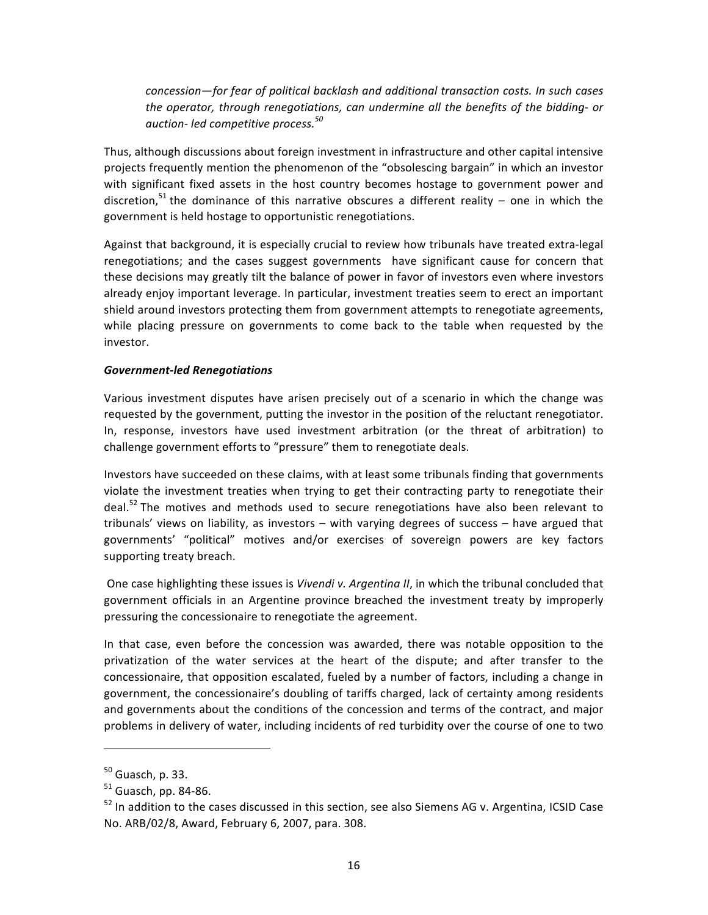$concession$ —for fear of political backlash and additional transaction costs. In such cases *the operator, through renegotiations, can undermine all the benefits of the bidding-or auction8 led(competitive(process.<sup>50</sup>*

Thus, although discussions about foreign investment in infrastructure and other capital intensive projects frequently mention the phenomenon of the "obsolescing bargain" in which an investor with significant fixed assets in the host country becomes hostage to government power and discretion,<sup>51</sup> the dominance of this narrative obscures a different reality – one in which the government is held hostage to opportunistic renegotiations.

Against that background, it is especially crucial to review how tribunals have treated extra-legal renegotiations; and the cases suggest governments have significant cause for concern that these decisions may greatly tilt the balance of power in favor of investors even where investors already enjoy important leverage. In particular, investment treaties seem to erect an important shield around investors protecting them from government attempts to renegotiate agreements, while placing pressure on governments to come back to the table when requested by the investor.

#### *Government)led,Renegotiations*

Various investment disputes have arisen precisely out of a scenario in which the change was requested by the government, putting the investor in the position of the reluctant renegotiator. In, response, investors have used investment arbitration (or the threat of arbitration) to challenge government efforts to "pressure" them to renegotiate deals.

Investors have succeeded on these claims, with at least some tribunals finding that governments violate the investment treaties when trying to get their contracting party to renegotiate their deal.<sup>52</sup> The motives and methods used to secure renegotiations have also been relevant to tribunals' views on liability, as investors – with varying degrees of success – have argued that governments' "political" motives and/or exercises of sovereign powers are key factors supporting treaty breach.

One case highlighting these issues is *Vivendi v. Argentina II*, in which the tribunal concluded that government officials in an Argentine province breached the investment treaty by improperly pressuring the concessionaire to renegotiate the agreement.

In that case, even before the concession was awarded, there was notable opposition to the privatization of the water services at the heart of the dispute; and after transfer to the concessionaire, that opposition escalated, fueled by a number of factors, including a change in government, the concessionaire's doubling of tariffs charged, lack of certainty among residents and governments about the conditions of the concession and terms of the contract, and major problems in delivery of water, including incidents of red turbidity over the course of one to two

 $50$  Guasch, p. 33.

 $51$  Guasch, pp. 84-86.

 $52$  In addition to the cases discussed in this section, see also Siemens AG v. Argentina, ICSID Case No. ARB/02/8, Award, February 6, 2007, para. 308.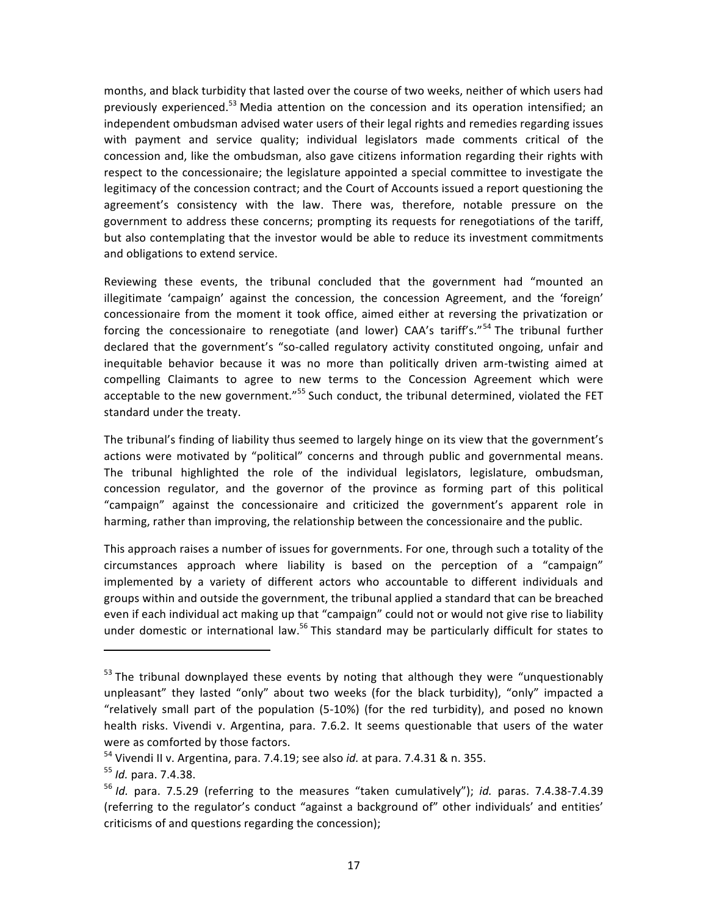months, and black turbidity that lasted over the course of two weeks, neither of which users had previously experienced.<sup>53</sup> Media attention on the concession and its operation intensified; an independent ombudsman advised water users of their legal rights and remedies regarding issues with payment and service quality; individual legislators made comments critical of the concession and, like the ombudsman, also gave citizens information regarding their rights with respect to the concessionaire; the legislature appointed a special committee to investigate the legitimacy of the concession contract; and the Court of Accounts issued a report questioning the agreement's consistency with the law. There was, therefore, notable pressure on the government to address these concerns; prompting its requests for renegotiations of the tariff, but also contemplating that the investor would be able to reduce its investment commitments and obligations to extend service.

Reviewing these events, the tribunal concluded that the government had "mounted an illegitimate 'campaign' against the concession, the concession Agreement, and the 'foreign' concessionaire from the moment it took office, aimed either at reversing the privatization or forcing the concessionaire to renegotiate (and lower) CAA's tariff's."<sup>54</sup> The tribunal further declared that the government's "so-called regulatory activity constituted ongoing, unfair and inequitable behavior because it was no more than politically driven arm-twisting aimed at compelling Claimants to agree to new terms to the Concession Agreement which were acceptable to the new government."<sup>55</sup> Such conduct, the tribunal determined, violated the FET standard under the treaty.

The tribunal's finding of liability thus seemed to largely hinge on its view that the government's actions were motivated by "political" concerns and through public and governmental means. The tribunal highlighted the role of the individual legislators, legislature, ombudsman, concession regulator, and the governor of the province as forming part of this political "campaign" against the concessionaire and criticized the government's apparent role in harming, rather than improving, the relationship between the concessionaire and the public.

This approach raises a number of issues for governments. For one, through such a totality of the circumstances approach where liability is based on the perception of a "campaign" implemented by a variety of different actors who accountable to different individuals and groups within and outside the government, the tribunal applied a standard that can be breached even if each individual act making up that "campaign" could not or would not give rise to liability under domestic or international law.<sup>56</sup> This standard may be particularly difficult for states to

 $53$  The tribunal downplayed these events by noting that although they were "unquestionably unpleasant" they lasted "only" about two weeks (for the black turbidity), "only" impacted a "relatively small part of the population (5-10%) (for the red turbidity), and posed no known health risks. Vivendi v. Argentina, para. 7.6.2. It seems questionable that users of the water were as comforted by those factors.

<sup>&</sup>lt;sup>54</sup> Vivendi II v. Argentina, para. 7.4.19; see also *id.* at para. 7.4.31 & n. 355.

<sup>&</sup>lt;sup>55</sup> *Id.* para. 7.4.38.

<sup>&</sup>lt;sup>56</sup> *Id.* para. 7.5.29 (referring to the measures "taken cumulatively"); *id.* paras. 7.4.38-7.4.39 (referring to the regulator's conduct "against a background of" other individuals' and entities' criticisms of and questions regarding the concession);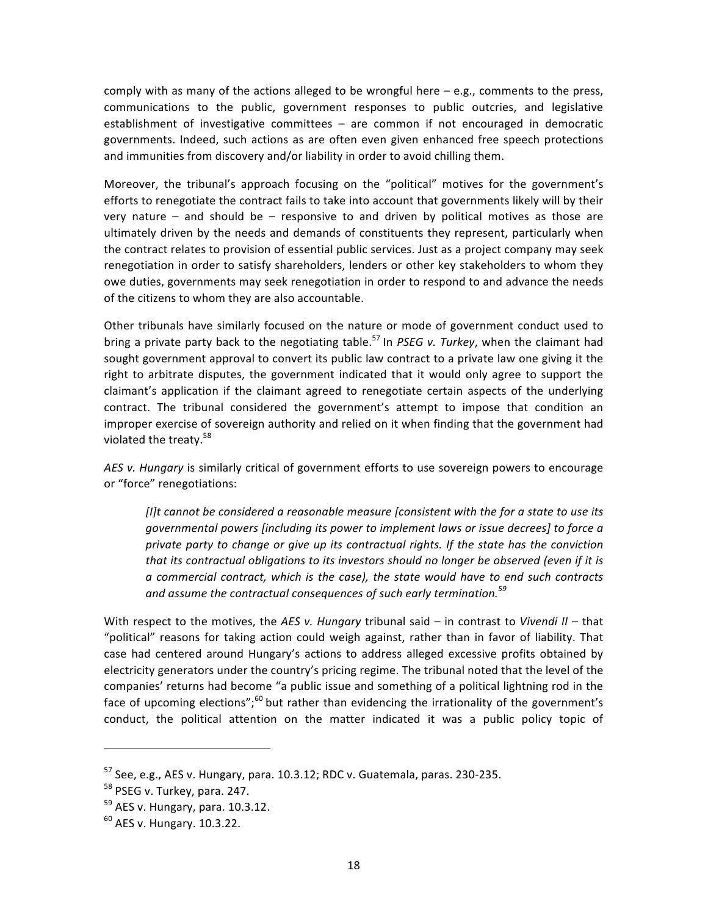comply with as many of the actions alleged to be wrongful here  $-e.g.,$  comments to the press, communications to the public, government responses to public outcries, and legislative establishment of investigative committees – are common if not encouraged in democratic governments. Indeed, such actions as are often even given enhanced free speech protections and immunities from discovery and/or liability in order to avoid chilling them.

Moreover, the tribunal's approach focusing on the "political" motives for the government's efforts to renegotiate the contract fails to take into account that governments likely will by their very nature – and should be – responsive to and driven by political motives as those are ultimately driven by the needs and demands of constituents they represent, particularly when the contract relates to provision of essential public services. Just as a project company may seek renegotiation in order to satisfy shareholders, lenders or other key stakeholders to whom they owe duties, governments may seek renegotiation in order to respond to and advance the needs of the citizens to whom they are also accountable.

Other tribunals have similarly focused on the nature or mode of government conduct used to bring a private party back to the negotiating table.<sup>57</sup> In *PSEG v. Turkey*, when the claimant had sought government approval to convert its public law contract to a private law one giving it the right to arbitrate disputes, the government indicated that it would only agree to support the claimant's application if the claimant agreed to renegotiate certain aspects of the underlying contract. The tribunal considered the government's attempt to impose that condition an improper exercise of sovereign authority and relied on it when finding that the government had violated the treaty. $58$ 

AES v. Hungary is similarly critical of government efforts to use sovereign powers to encourage or "force" renegotiations:

*[I]t cannot be considered a reasonable measure (consistent with the for a state to use its* governmental powers (including its power to implement laws or issue decrees) to force a *private party to change or give up its contractual rights. If the state has the conviction* that its contractual obligations to its investors should no longer be observed (even if it is  $a$  commercial contract, which is the case), the state would have to end such contracts and assume the contractual consequences of such early termination.<sup>59</sup>

With respect to the motives, the AES v. Hungary tribunal said – in contrast to Vivendi II – that "political" reasons for taking action could weigh against, rather than in favor of liability. That case had centered around Hungary's actions to address alleged excessive profits obtained by electricity generators under the country's pricing regime. The tribunal noted that the level of the companies' returns had become "a public issue and something of a political lightning rod in the face of upcoming elections";<sup>60</sup> but rather than evidencing the irrationality of the government's conduct, the political attention on the matter indicated it was a public policy topic of

 $57$  See, e.g., AES v. Hungary, para. 10.3.12; RDC v. Guatemala, paras. 230-235.

 $58$  PSEG v. Turkey, para. 247.

 $59$  AES v. Hungary, para. 10.3.12.

 $60$  AES v. Hungary. 10.3.22.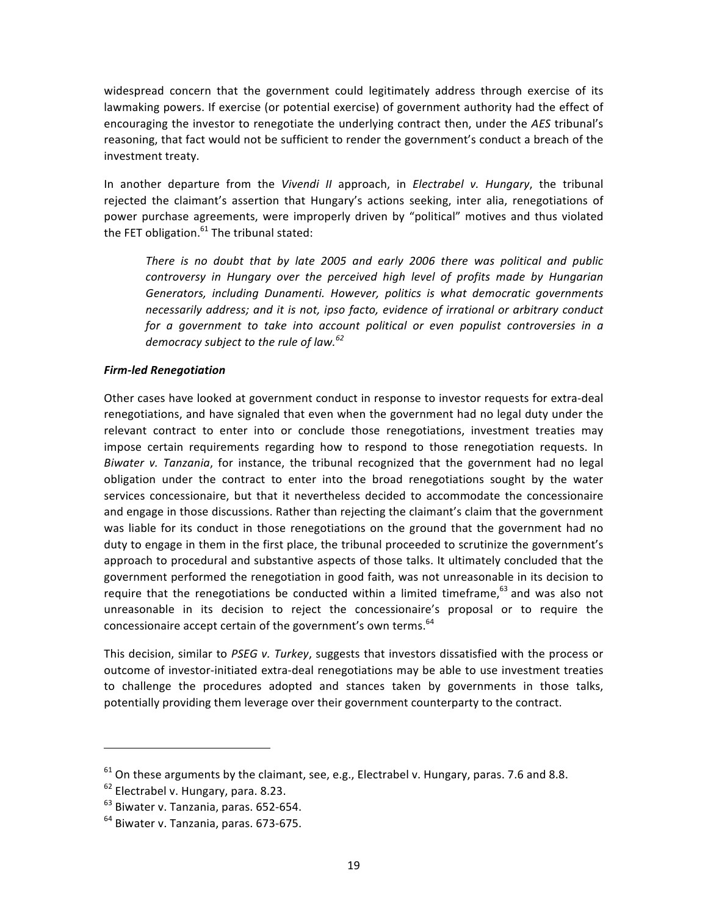widespread concern that the government could legitimately address through exercise of its lawmaking powers. If exercise (or potential exercise) of government authority had the effect of encouraging the investor to renegotiate the underlying contract then, under the AES tribunal's reasoning, that fact would not be sufficient to render the government's conduct a breach of the investment treaty.

In another departure from the *Vivendi II* approach, in *Electrabel v. Hungary*, the tribunal rejected the claimant's assertion that Hungary's actions seeking, inter alia, renegotiations of power purchase agreements, were improperly driven by "political" motives and thus violated the FET obligation. $61$  The tribunal stated:

There is no doubt that by late 2005 and early 2006 there was political and public controversy in Hungary over the perceived high level of profits made by Hungarian Generators, *including Dunamenti. However, politics is what democratic governments* necessarily address; and it is not, ipso facto, evidence of irrational or arbitrary conduct *for a government to take into account political or even populist controversies in a democracy subject to the rule of law.*<sup>62</sup>

#### *Firm)led,Renegotiation*

Other cases have looked at government conduct in response to investor requests for extra-deal renegotiations, and have signaled that even when the government had no legal duty under the relevant contract to enter into or conclude those renegotiations, investment treaties may impose certain requirements regarding how to respond to those renegotiation requests. In Biwater v. Tanzania, for instance, the tribunal recognized that the government had no legal obligation under the contract to enter into the broad renegotiations sought by the water services concessionaire, but that it nevertheless decided to accommodate the concessionaire and engage in those discussions. Rather than rejecting the claimant's claim that the government was liable for its conduct in those renegotiations on the ground that the government had no duty to engage in them in the first place, the tribunal proceeded to scrutinize the government's approach to procedural and substantive aspects of those talks. It ultimately concluded that the government performed the renegotiation in good faith, was not unreasonable in its decision to require that the renegotiations be conducted within a limited timeframe, $63$  and was also not unreasonable in its decision to reject the concessionaire's proposal or to require the concessionaire accept certain of the government's own terms.<sup>64</sup>

This decision, similar to PSEG v. Turkey, suggests that investors dissatisfied with the process or outcome of investor-initiated extra-deal renegotiations may be able to use investment treaties to challenge the procedures adopted and stances taken by governments in those talks, potentially providing them leverage over their government counterparty to the contract.

 $61$  On these arguments by the claimant, see, e.g., Electrabel v. Hungary, paras. 7.6 and 8.8.

 $62$  Electrabel v. Hungary, para. 8.23.

 $<sup>63</sup>$  Biwater v. Tanzania, paras. 652-654.</sup>

 $64$  Biwater v. Tanzania, paras. 673-675.